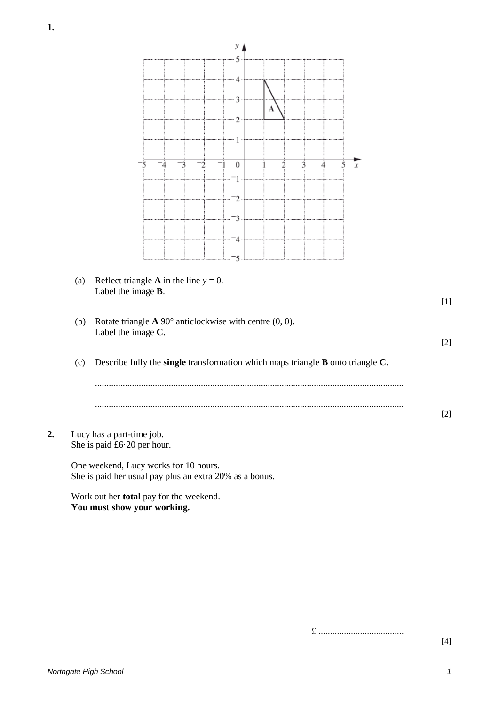

£ .....................................

[4]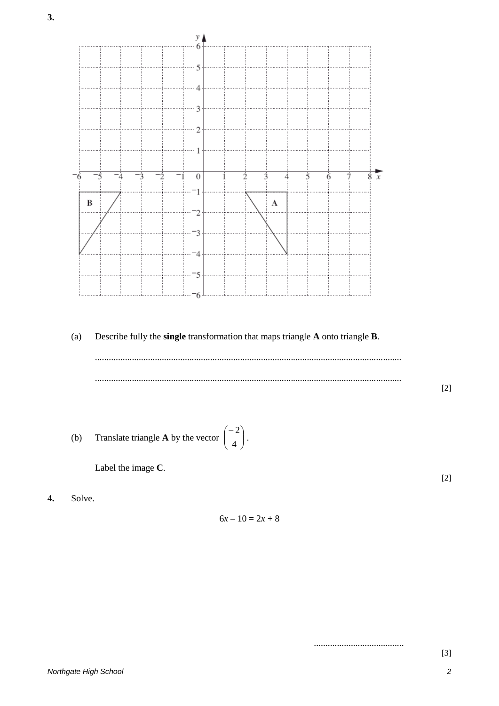

.......................................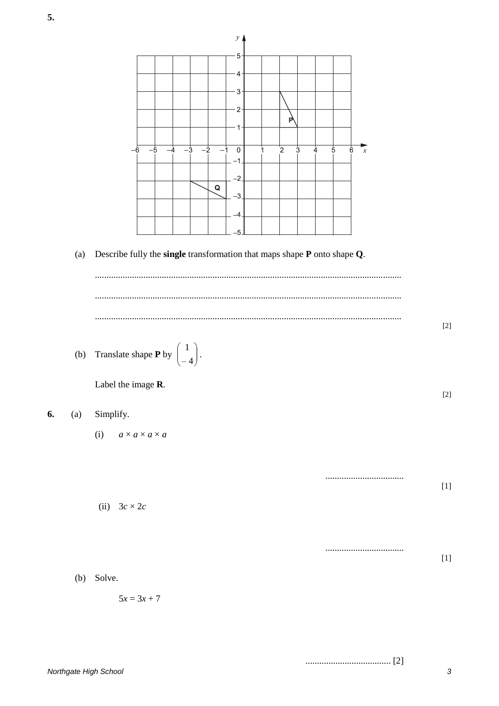

 $[2] \label{eq:1}$ 

3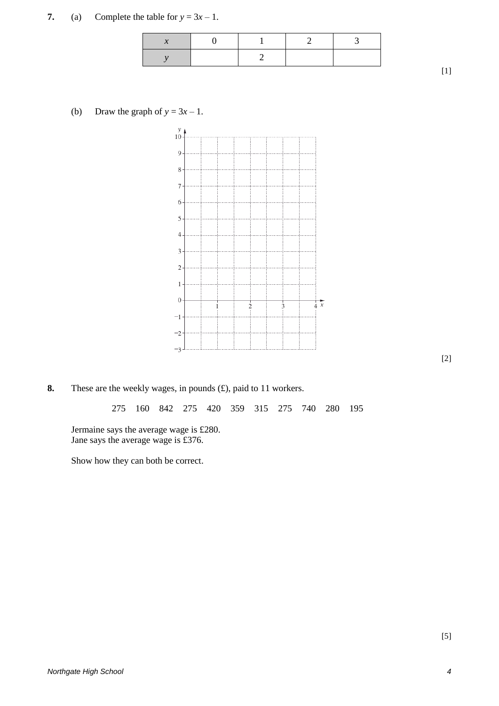**7.** (a) Complete the table for  $y = 3x - 1$ .

(b) Draw the graph of  $y = 3x - 1$ .



**8.** These are the weekly wages, in pounds (£), paid to 11 workers.

275 160 842 275 420 359 315 275 740 280 195

Jermaine says the average wage is £280. Jane says the average wage is £376.

Show how they can both be correct.

[2]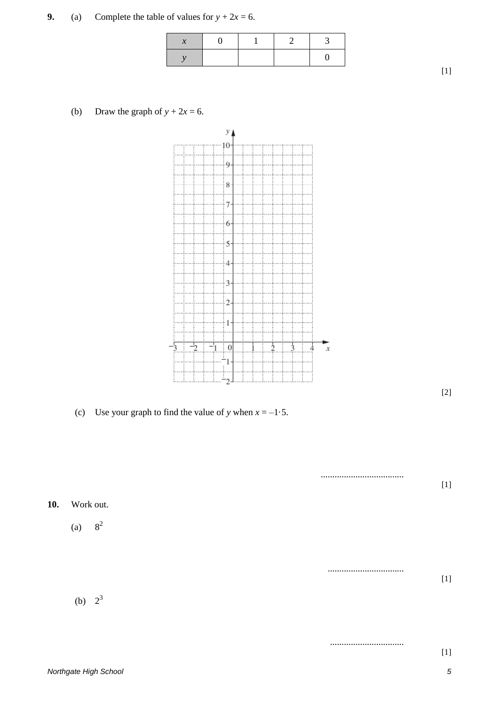[1]

(b) Draw the graph of  $y + 2x = 6$ .

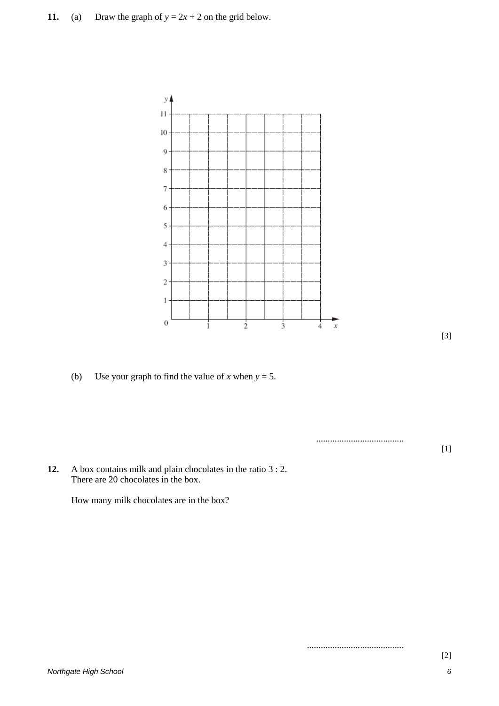

(b) Use your graph to find the value of *x* when  $y = 5$ .

...................................... [1]

..........................................

**12.** A box contains milk and plain chocolates in the ratio 3 : 2. There are 20 chocolates in the box.

How many milk chocolates are in the box?

*Northgate High School 6*

[3]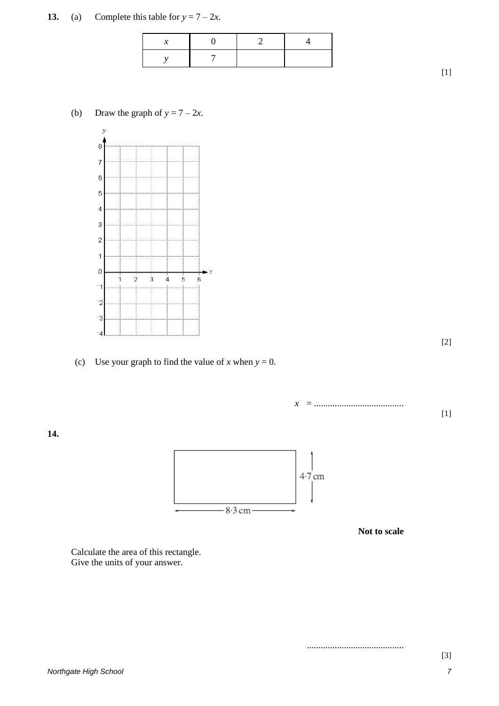## **13.** (a) Complete this table for  $y = 7 - 2x$ .

[1]

[2]

[1]

## (b) Draw the graph of  $y = 7 - 2x$ .



(c) Use your graph to find the value of *x* when  $y = 0$ .

*x* = .......................................

**14.**



**Not to scale**

..........................................

Calculate the area of this rectangle. Give the units of your answer.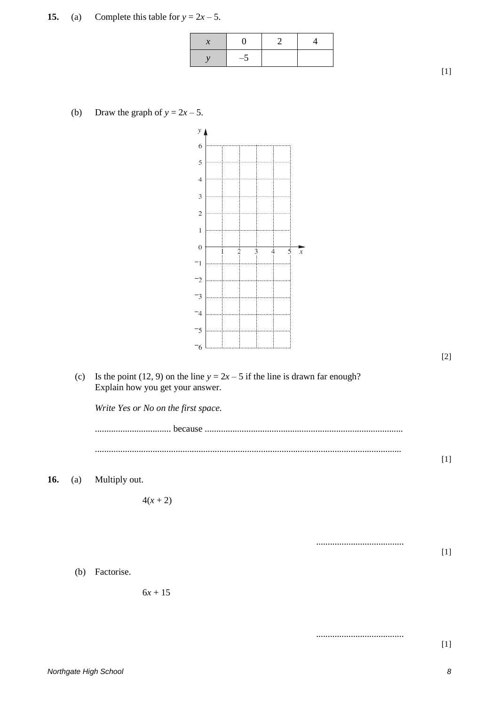**15.** (a) Complete this table for  $y = 2x - 5$ .

| $\frac{1}{2}$ |  |
|---------------|--|

[1]

[2]

[1]

[1]

......................................

......................................

(b) Draw the graph of  $y = 2x - 5$ .



(c) Is the point (12, 9) on the line  $y = 2x - 5$  if the line is drawn far enough? Explain how you get your answer.

*Write Yes or No on the first space.*

................................. because ...................................................................................... .....................................................................................................................................

**16.** (a) Multiply out.

 $4(x + 2)$ 

(b) Factorise.

 $6x + 15$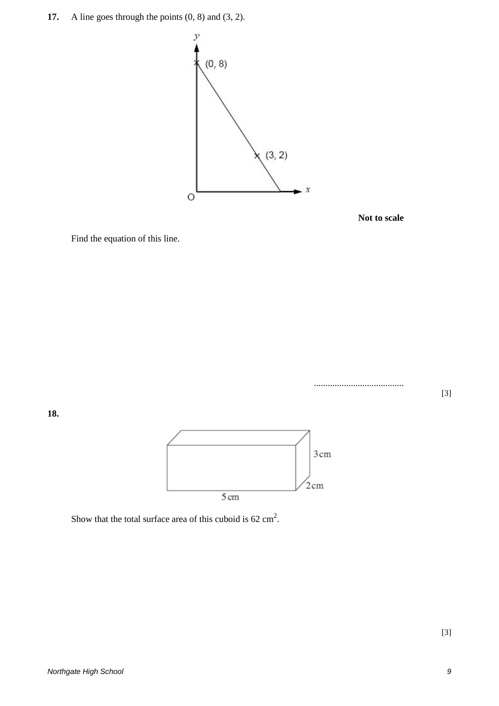**17.** A line goes through the points  $(0, 8)$  and  $(3, 2)$ .





Find the equation of this line.



.......................................

**18.**



Show that the total surface area of this cuboid is  $62 \text{ cm}^2$ .

[3]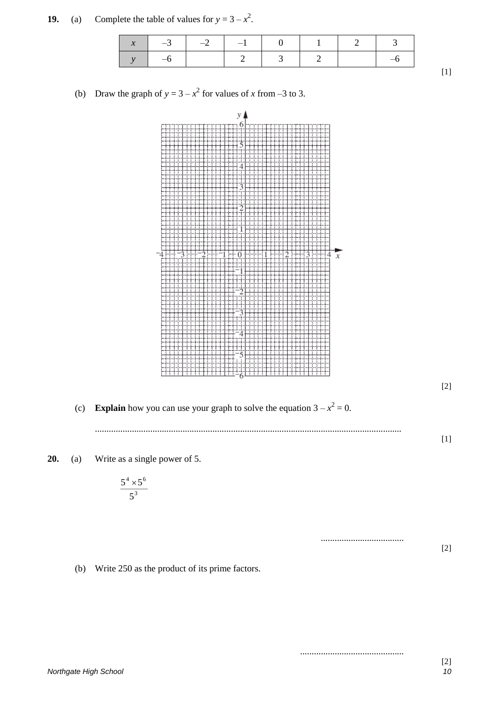|  | $-3$ $-2$ $-1$ $0$ $1$ $2$ $3$ |  |  |  |
|--|--------------------------------|--|--|--|
|  |                                |  |  |  |

**19.** (a) Complete the table of values for  $y = 3 - x^2$ .

(b) Draw the graph of  $y = 3 - x^2$  for values of *x* from –3 to 3.



(b) Write 250 as the product of its prime factors.

.............................................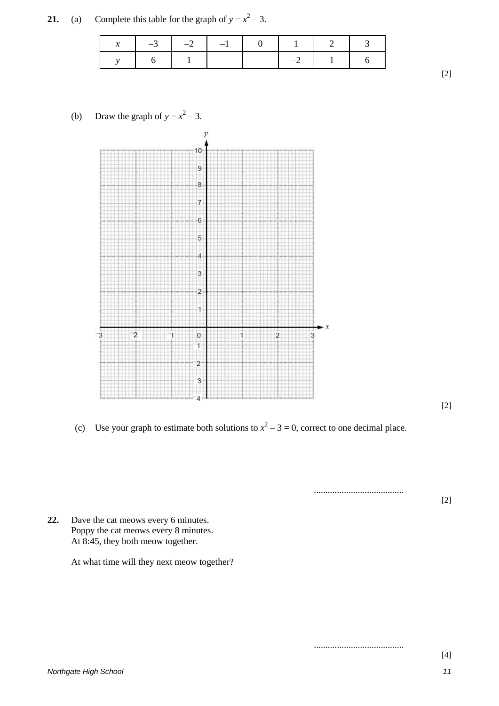**21.** (a) Complete this table for the graph of  $y = x^2 - 3$ .

| $-3$ $-1$ | $-2$ | $\blacksquare$<br>$\mathbf{U}$ | $\blacksquare$ |                |  |
|-----------|------|--------------------------------|----------------|----------------|--|
|           |      |                                |                | $\blacksquare$ |  |

(b) Draw the graph of  $y = x^2 - 3$ .



[2]

[2]

(c) Use your graph to estimate both solutions to  $x^2 - 3 = 0$ , correct to one decimal place.

.......................................

.......................................

[2]

**22.** Dave the cat meows every 6 minutes. Poppy the cat meows every 8 minutes. At 8:45, they both meow together.

At what time will they next meow together?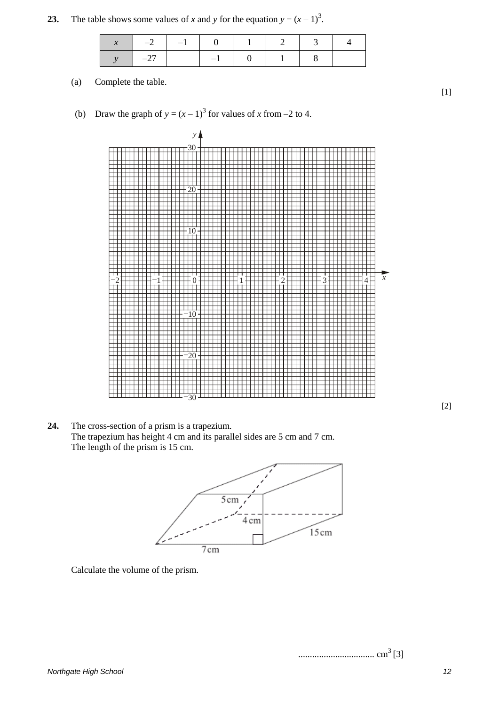**23.** The table shows some values of *x* and *y* for the equation  $y = (x - 1)^3$ .

|         | $x \mid -2 \mid -1 \mid 0 \mid 1$ |          | 2 3 |  |
|---------|-----------------------------------|----------|-----|--|
| $1 -27$ |                                   | $-1$ 0 1 |     |  |

(a) Complete the table.

(b) Draw the graph of  $y = (x - 1)^3$  for values of *x* from –2 to 4.



**24.** The cross-section of a prism is a trapezium. The trapezium has height 4 cm and its parallel sides are 5 cm and 7 cm. The length of the prism is 15 cm.



Calculate the volume of the prism.

................................. cm3 [3]

[2]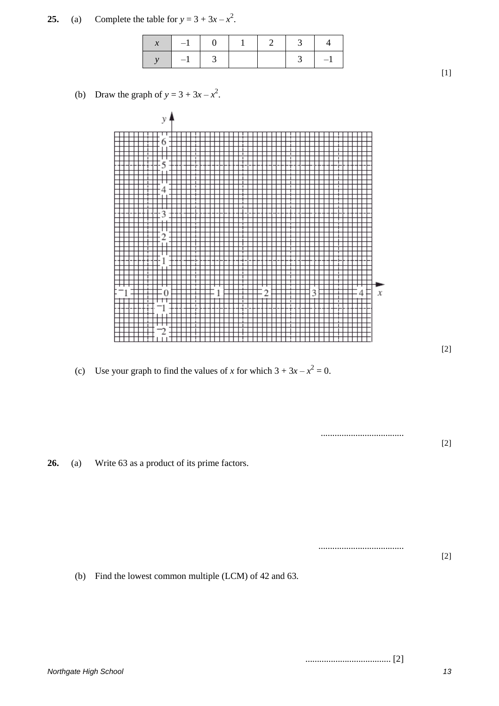**25.** (a) Complete the table for  $y = 3 + 3x - x^2$ .

| $-1$ 0 |  | $\sim$ 5 |      |
|--------|--|----------|------|
| $-1$   |  |          | $-1$ |

(b) Draw the graph of  $y = 3 + 3x - x^2$ .



(c) Use your graph to find the values of *x* for which  $3 + 3x - x^2 = 0$ .

**26.** (a) Write 63 as a product of its prime factors.

(b) Find the lowest common multiple (LCM) of 42 and 63.

..................................... [2]

....................................

.....................................

[2]

[1]

[2]

[2]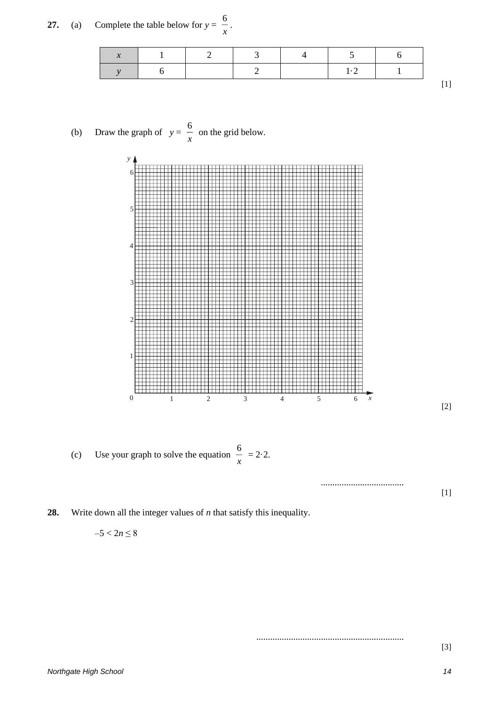**27.** (a) Complete the table below for  $y = \frac{3}{x}$ .

6





(c) Use your graph to solve the equation  $\frac{0}{x} = 2.2$ . 6

**28.** Write down all the integer values of *n* that satisfy this inequality.

$$
-5 < 2n \leq 8
$$

................................................................

....................................

[3]

[1]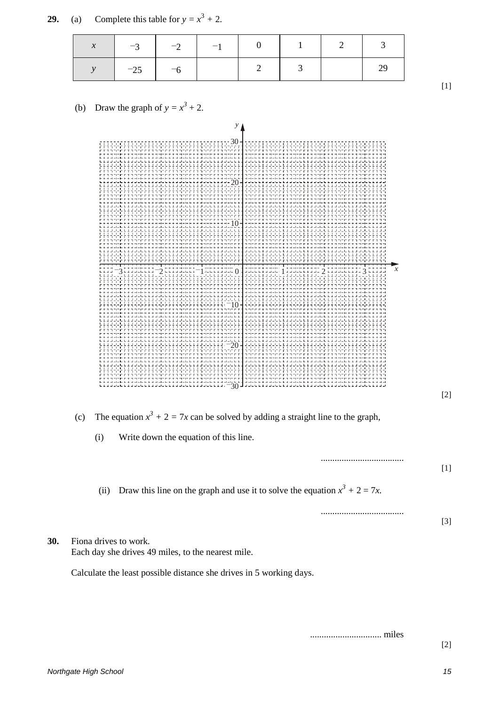|     | у                                                                                                                                        |       |
|-----|------------------------------------------------------------------------------------------------------------------------------------------|-------|
|     | х<br>umbergaan<br>Julianus                                                                                                               |       |
|     |                                                                                                                                          | $[2]$ |
|     | The equation $x^3 + 2 = 7x$ can be solved by adding a straight line to the graph,<br>(c)<br>Write down the equation of this line.<br>(i) |       |
|     | Draw this line on the graph and use it to solve the equation $x^3 + 2 = 7x$ .<br>(ii)                                                    | $[1]$ |
|     |                                                                                                                                          | $[3]$ |
| 30. | Fiona drives to work.<br>Each day she drives 49 miles, to the nearest mile.                                                              |       |
|     | Calculate the least possible distance she drives in 5 working days.                                                                      |       |

*x* –3 –2 –1 0 1 2 3

*y*  $-25$   $-6$   $-6$   $2$   $3$   $29$ 

(b) Draw the graph of  $y = x^3 + 2$ .

[1]

............................... miles

[2]